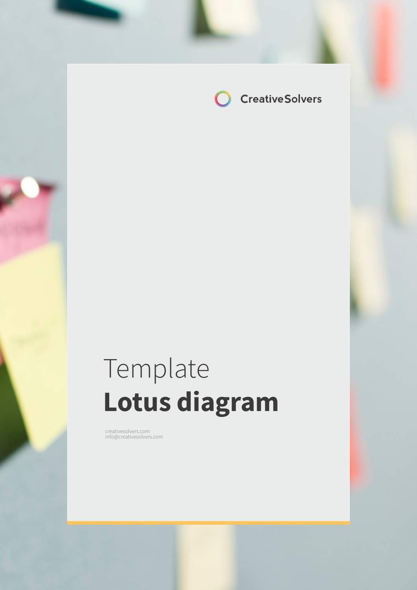

# Template **Lotus diagram**

creativesolvers.com info@creativesolvers.com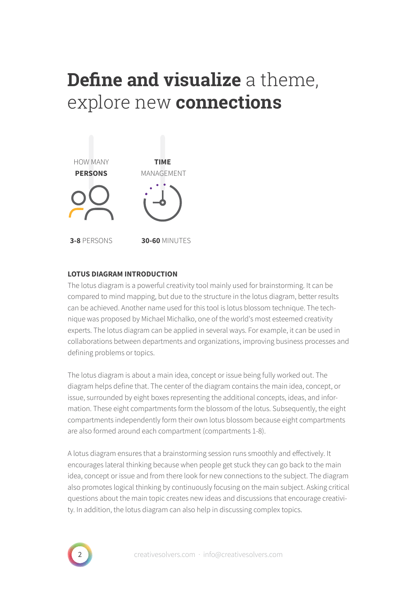## **Define and visualize** a theme, explore new **connections**



### **LOTUS DIAGRAM INTRODUCTION**

The lotus diagram is a powerful creativity tool mainly used for brainstorming. It can be compared to mind mapping, but due to the structure in the lotus diagram, better results can be achieved. Another name used for this tool is lotus blossom technique. The technique was proposed by Michael Michalko, one of the world's most esteemed creativity experts. The lotus diagram can be applied in several ways. For example, it can be used in collaborations between departments and organizations, improving business processes and defining problems or topics.

The lotus diagram is about a main idea, concept or issue being fully worked out. The diagram helps define that. The center of the diagram contains the main idea, concept, or issue, surrounded by eight boxes representing the additional concepts, ideas, and information. These eight compartments form the blossom of the lotus. Subsequently, the eight compartments independently form their own lotus blossom because eight compartments are also formed around each compartment (compartments 1-8).

A lotus diagram ensures that a brainstorming session runs smoothly and effectively. It encourages lateral thinking because when people get stuck they can go back to the main idea, concept or issue and from there look for new connections to the subject. The diagram also promotes logical thinking by continuously focusing on the main subject. Asking critical questions about the main topic creates new ideas and discussions that encourage creativity. In addition, the lotus diagram can also help in discussing complex topics.

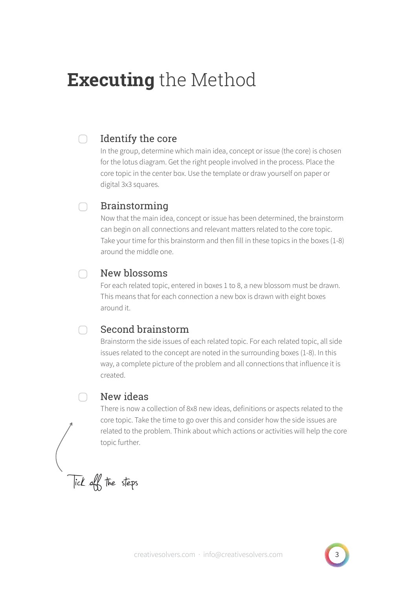## **Executing** the Method

#### Identify the core ∩

In the group, determine which main idea, concept or issue (the core) is chosen for the lotus diagram. Get the right people involved in the process. Place the core topic in the center box. Use the template or draw yourself on paper or digital 3x3 squares.

#### Brainstorming ∩

Now that the main idea, concept or issue has been determined, the brainstorm can begin on all connections and relevant matters related to the core topic. Take your time for this brainstorm and then fill in these topics in the boxes (1-8) around the middle one.

#### New blossoms  $\cap$

For each related topic, entered in boxes 1 to 8, a new blossom must be drawn. This means that for each connection a new box is drawn with eight boxes around it.

#### $\cap$ Second brainstorm

Brainstorm the side issues of each related topic. For each related topic, all side issues related to the concept are noted in the surrounding boxes (1-8). In this way, a complete picture of the problem and all connections that influence it is created.

### New ideas

There is now a collection of 8x8 new ideas, definitions or aspects related to the core topic. Take the time to go over this and consider how the side issues are related to the problem. Think about which actions or activities will help the core topic further.

Tick off the steps